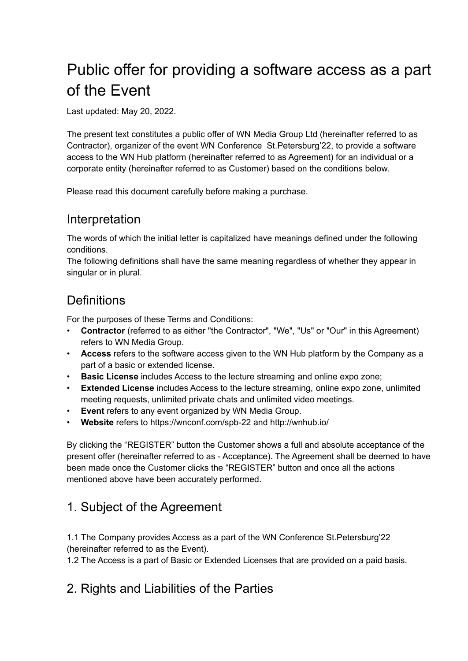# Public offer for providing a software access as a part of the Event

Last updated: May 20, 2022.

The present text constitutes a public offer of WN Media Group Ltd (hereinafter referred to as Contractor), organizer of the event WN Conference St.Petersburg'22, to provide a software access to the WN Hub platform (hereinafter referred to as Agreement) for an individual or a corporate entity (hereinafter referred to as Customer) based on the conditions below.

Please read this document carefully before making a purchase.

### Interpretation

The words of which the initial letter is capitalized have meanings defined under the following conditions.

The following definitions shall have the same meaning regardless of whether they appear in singular or in plural.

# **Definitions**

For the purposes of these Terms and Conditions:

- **Contractor** (referred to as either "the Contractor", "We", "Us" or "Our" in this Agreement) refers to WN Media Group.
- **Access** refers to the software access given to the WN Hub platform by the Company as a part of a basic or extended license.
- **Basic License** includes Access to the lecture streaming and online expo zone;
- **Extended License** includes Access to the lecture streaming, online expo zone, unlimited meeting requests, unlimited private chats and unlimited video meetings.
- **Event** refers to any event organized by WN Media Group.
- **Website** refers to https://wnconf.com/spb-22 and http://wnhub.io/

By clicking the "REGISTER" button the Customer shows a full and absolute acceptance of the present offer (hereinafter referred to as - Acceptance). The Agreement shall be deemed to have been made once the Customer clicks the "REGISTER" button and once all the actions mentioned above have been accurately performed.

## 1. Subject of the Agreement

1.1 The Company provides Access as a part of the WN Conference St.Petersburg'22 (hereinafter referred to as the Event).

1.2 The Access is a part of Basic or Extended Licenses that are provided on a paid basis.

#### 2. Rights and Liabilities of the Parties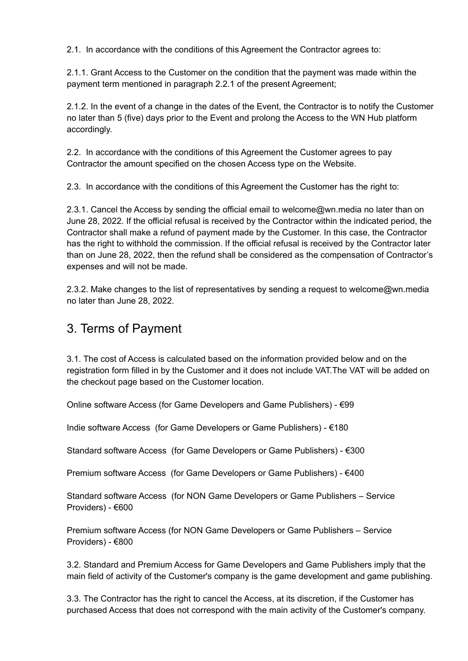2.1. In accordance with the conditions of this Agreement the Contractor agrees to:

2.1.1. Grant Access to the Customer on the condition that the payment was made within the payment term mentioned in paragraph 2.2.1 of the present Agreement;

2.1.2. In the event of a change in the dates of the Event, the Contractor is to notify the Customer no later than 5 (five) days prior to the Event and prolong the Access to the WN Hub platform accordingly.

2.2. In accordance with the conditions of this Agreement the Customer agrees to pay Contractor the amount specified on the chosen Access type on the Website.

2.3. In accordance with the conditions of this Agreement the Customer has the right to:

2.3.1. Cancel the Access by sending the official email to welcome@wn.media no later than on June 28, 2022. If the official refusal is received by the Contractor within the indicated period, the Contractor shall make a refund of payment made by the Customer. In this case, the Contractor has the right to withhold the commission. If the official refusal is received by the Contractor later than on June 28, 2022, then the refund shall be considered as the compensation of Contractor's expenses and will not be made.

2.3.2. Make changes to the list of representatives by sending a request to welcome@wn.media no later than June 28, 2022.

#### 3. Terms of Payment

3.1. The cost of Access is calculated based on the information provided below and on the registration form filled in by the Customer and it does not include VAT.The VAT will be added on the checkout page based on the Customer location.

Online software Access (for Game Developers and Game Publishers) - €99

Indie software Access (for Game Developers or Game Publishers) - €180

Standard software Access (for Game Developers or Game Publishers) - €300

Premium software Access (for Game Developers or Game Publishers) - €400

Standard software Access (for NON Game Developers or Game Publishers – Service Providers) - €600

Premium software Access (for NON Game Developers or Game Publishers – Service Providers) - €800

3.2. Standard and Premium Access for Game Developers and Game Publishers imply that the main field of activity of the Customer's company is the game development and game publishing.

3.3. The Contractor has the right to cancel the Access, at its discretion, if the Customer has purchased Access that does not correspond with the main activity of the Customer's company.